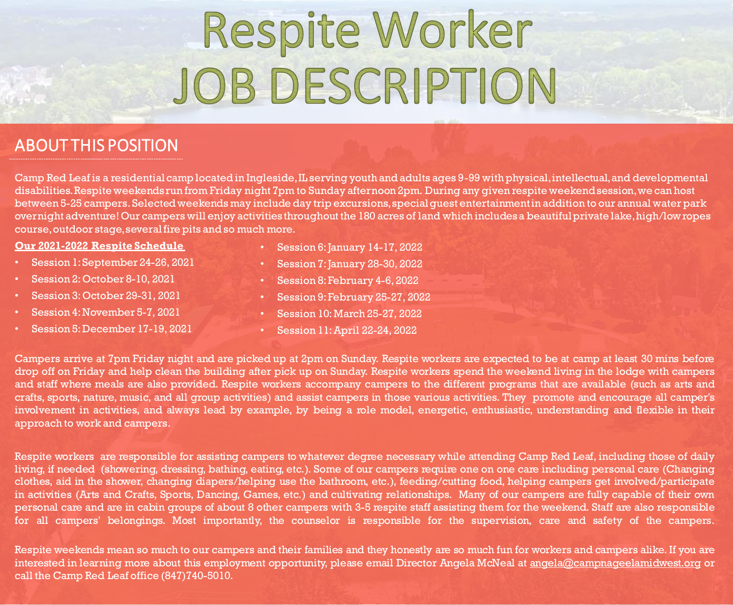# Respite Worker JOBDESCRIPTION

### ABOUT THIS POSITION

Camp Red Leaf is a residential camp located in Ingleside, IL serving youth and adults ages 9-99 with physical, intellectual, and developmental disabilities. Respite weekends run from Friday night 7pm to Sunday afternoon 2pm. During any given respite weekend session, we can host between 5-25 campers. Selected weekends may include day trip excursions, special guest entertainment in addition to our annual water park overnight adventure! Our campers will enjoy activities throughout the 180 acres of land which includes a beautiful private lake, high/low ropes course, outdoor stage, several fire pits and so much more.

#### **Our 2021-2022 Respite Schedule**

- Session 1:September 24-26, 2021
- Session 2: October 8-10, 2021
- Session 3:October 29-31, 2021
- Session 4:November 5-7, 2021
- Session 5:December 17-19, 2021
- $\cdot$  Session 6: January 14-17, 2022
- Session 7: January 28-30, 2022
- Session 8: February 4-6, 2022
- Session 9:February 25-27, 2022
- Session 10:March 25-27, 2022
- Session 11:April 22-24, 2022

Campers arrive at 7pm Friday night and are picked up at 2pm on Sunday. Respite workers are expected to be at camp at least 30 mins before drop off on Friday and help clean the building after pick up on Sunday. Respite workers spend the weekend living in the lodge with campers and staff where meals are also provided. Respite workers accompany campers to the different programs that are available (such as arts and crafts, sports, nature, music, and all group activities) and assist campers in those various activities. They promote and encourage all camper's involvement in activities, and always lead by example, by being a role model, energetic, enthusiastic, understanding and flexible in their approach to work and campers.

Respite workers are responsible for assisting campers to whatever degree necessary while attending Camp Red Leaf, including those of daily living, if needed (showering, dressing, bathing, eating, etc.). Some of our campers require one on one care including personal care (Changing clothes, aid in the shower, changing diapers/helping use the bathroom, etc.), feeding/cutting food, helping campers get involved/participate in activities (Arts and Crafts, Sports, Dancing, Games, etc.) and cultivating relationships. Many of our campers are fully capable of their own personal care and are in cabin groups of about 8 other campers with 3-5 respite staff assisting them for the weekend. Staff are also responsible for all campers' belongings. Most importantly, the counselor is responsible for the supervision, care and safety of the campers.

Respite weekends mean so much to our campers and their families and they honestly are so much fun for workers and campers alike. If you are interested in learning more about this employment opportunity, please email Director Angela McNeal at angela@campnageelamidwest.org or call the Camp Red Leaf office (847)740-5010.